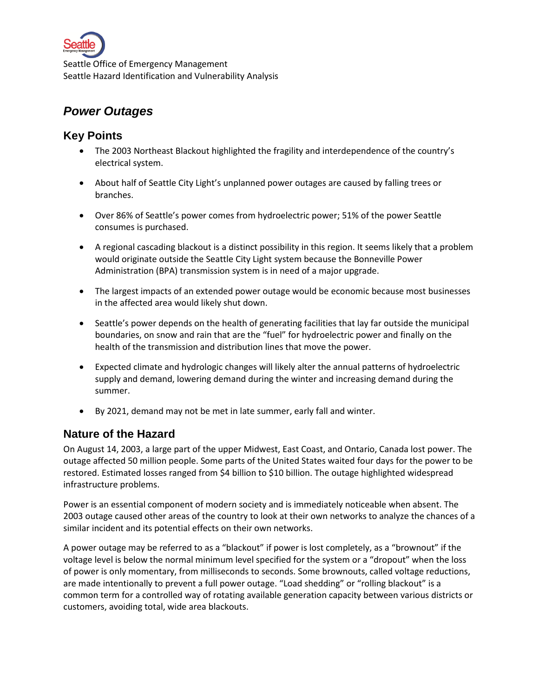

# *Power Outages*

## **Key Points**

- The 2003 Northeast Blackout highlighted the fragility and interdependence of the country's electrical system.
- About half of Seattle City Light's unplanned power outages are caused by falling trees or branches.
- Over 86% of Seattle's power comes from hydroelectric power; 51% of the power Seattle consumes is purchased.
- A regional cascading blackout is a distinct possibility in this region. It seems likely that a problem would originate outside the Seattle City Light system because the Bonneville Power Administration (BPA) transmission system is in need of a major upgrade.
- The largest impacts of an extended power outage would be economic because most businesses in the affected area would likely shut down.
- Seattle's power depends on the health of generating facilities that lay far outside the municipal boundaries, on snow and rain that are the "fuel" for hydroelectric power and finally on the health of the transmission and distribution lines that move the power.
- Expected climate and hydrologic changes will likely alter the annual patterns of hydroelectric supply and demand, lowering demand during the winter and increasing demand during the summer.
- By 2021, demand may not be met in late summer, early fall and winter.

## **Nature of the Hazard**

On August 14, 2003, a large part of the upper Midwest, East Coast, and Ontario, Canada lost power. The outage affected 50 million people. Some parts of the United States waited four days for the power to be restored. Estimated losses ranged from \$4 billion to \$10 billion. The outage highlighted widespread infrastructure problems.

Power is an essential component of modern society and is immediately noticeable when absent. The 2003 outage caused other areas of the country to look at their own networks to analyze the chances of a similar incident and its potential effects on their own networks.

A power outage may be referred to as a "blackout" if power is lost completely, as a "brownout" if the voltage level is below the normal minimum level specified for the system or a "dropout" when the loss of power is only momentary, from milliseconds to seconds. Some brownouts, called voltage reductions, are made intentionally to prevent a full power outage. "Load shedding" or "rolling blackout" is a common term for a controlled way of rotating available generation capacity between various districts or customers, avoiding total, wide area blackouts.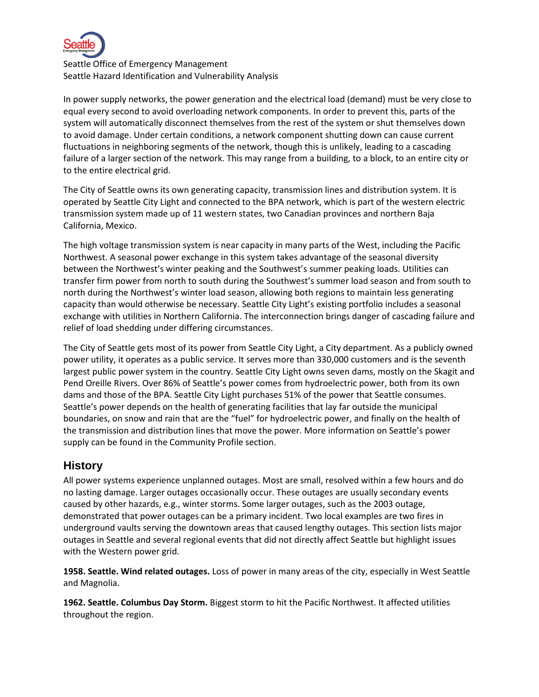

In power supply networks, the power generation and the electrical load (demand) must be very close to equal every second to avoid overloading network components. In order to prevent this, parts of the system will automatically disconnect themselves from the rest of the system or shut themselves down to avoid damage. Under certain conditions, a network component shutting down can cause current fluctuations in neighboring segments of the network, though this is unlikely, leading to a cascading failure of a larger section of the network. This may range from a building, to a block, to an entire city or to the entire electrical grid.

The City of Seattle owns its own generating capacity, transmission lines and distribution system. It is operated by Seattle City Light and connected to the BPA network, which is part of the western electric transmission system made up of 11 western states, two Canadian provinces and northern Baja California, Mexico.

The high voltage transmission system is near capacity in many parts of the West, including the Pacific Northwest. A seasonal power exchange in this system takes advantage of the seasonal diversity between the Northwest's winter peaking and the Southwest's summer peaking loads. Utilities can transfer firm power from north to south during the Southwest's summer load season and from south to north during the Northwest's winter load season, allowing both regions to maintain less generating capacity than would otherwise be necessary. Seattle City Light's existing portfolio includes a seasonal exchange with utilities in Northern California. The interconnection brings danger of cascading failure and relief of load shedding under differing circumstances.

The City of Seattle gets most of its power from Seattle City Light, a City department. As a publicly owned power utility, it operates as a public service. It serves more than 330,000 customers and is the seventh largest public power system in the country. Seattle City Light owns seven dams, mostly on the Skagit and Pend Oreille Rivers. Over 86% of Seattle's power comes from hydroelectric power, both from its own dams and those of the BPA. Seattle City Light purchases 51% of the power that Seattle consumes. Seattle's power depends on the health of generating facilities that lay far outside the municipal boundaries, on snow and rain that are the "fuel" for hydroelectric power, and finally on the health of the transmission and distribution lines that move the power. More information on Seattle's power supply can be found in the Community Profile section.

### **History**

All power systems experience unplanned outages. Most are small, resolved within a few hours and do no lasting damage. Larger outages occasionally occur. These outages are usually secondary events caused by other hazards, e.g., winter storms. Some larger outages, such as the 2003 outage, demonstrated that power outages can be a primary incident. Two local examples are two fires in underground vaults serving the downtown areas that caused lengthy outages. This section lists major outages in Seattle and several regional events that did not directly affect Seattle but highlight issues with the Western power grid.

**1958. Seattle. Wind related outages.** Loss of power in many areas of the city, especially in West Seattle and Magnolia.

**1962. Seattle. Columbus Day Storm.** Biggest storm to hit the Pacific Northwest. It affected utilities throughout the region.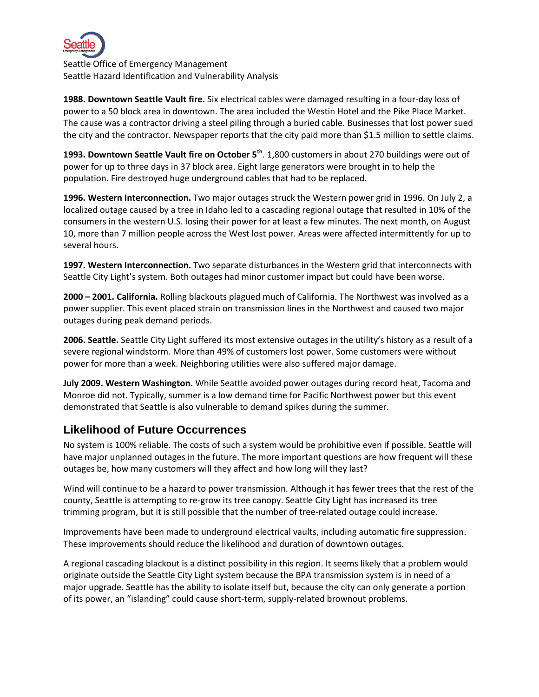

**1988. Downtown Seattle Vault fire.** Six electrical cables were damaged resulting in a four-day loss of power to a 50 block area in downtown. The area included the Westin Hotel and the Pike Place Market. The cause was a contractor driving a steel piling through a buried cable. Businesses that lost power sued the city and the contractor. Newspaper reports that the city paid more than \$1.5 million to settle claims.

**1993. Downtown Seattle Vault fire on October 5th** . 1,800 customers in about 270 buildings were out of power for up to three days in 37 block area. Eight large generators were brought in to help the population. Fire destroyed huge underground cables that had to be replaced.

**1996. Western Interconnection.** Two major outages struck the Western power grid in 1996. On July 2, a localized outage caused by a tree in Idaho led to a cascading regional outage that resulted in 10% of the consumers in the western U.S. losing their power for at least a few minutes. The next month, on August 10, more than 7 million people across the West lost power. Areas were affected intermittently for up to several hours.

**1997. Western Interconnection.** Two separate disturbances in the Western grid that interconnects with Seattle City Light's system. Both outages had minor customer impact but could have been worse.

**2000 – 2001. California.** Rolling blackouts plagued much of California. The Northwest was involved as a power supplier. This event placed strain on transmission lines in the Northwest and caused two major outages during peak demand periods.

**2006. Seattle.** Seattle City Light suffered its most extensive outages in the utility's history as a result of a severe regional windstorm. More than 49% of customers lost power. Some customers were without power for more than a week. Neighboring utilities were also suffered major damage.

**July 2009. Western Washington.** While Seattle avoided power outages during record heat, Tacoma and Monroe did not. Typically, summer is a low demand time for Pacific Northwest power but this event demonstrated that Seattle is also vulnerable to demand spikes during the summer.

## **Likelihood of Future Occurrences**

No system is 100% reliable. The costs of such a system would be prohibitive even if possible. Seattle will have major unplanned outages in the future. The more important questions are how frequent will these outages be, how many customers will they affect and how long will they last?

Wind will continue to be a hazard to power transmission. Although it has fewer trees that the rest of the county, Seattle is attempting to re-grow its tree canopy. Seattle City Light has increased its tree trimming program, but it is still possible that the number of tree-related outage could increase.

Improvements have been made to underground electrical vaults, including automatic fire suppression. These improvements should reduce the likelihood and duration of downtown outages.

A regional cascading blackout is a distinct possibility in this region. It seems likely that a problem would originate outside the Seattle City Light system because the BPA transmission system is in need of a major upgrade. Seattle has the ability to isolate itself but, because the city can only generate a portion of its power, an "islanding" could cause short-term, supply-related brownout problems.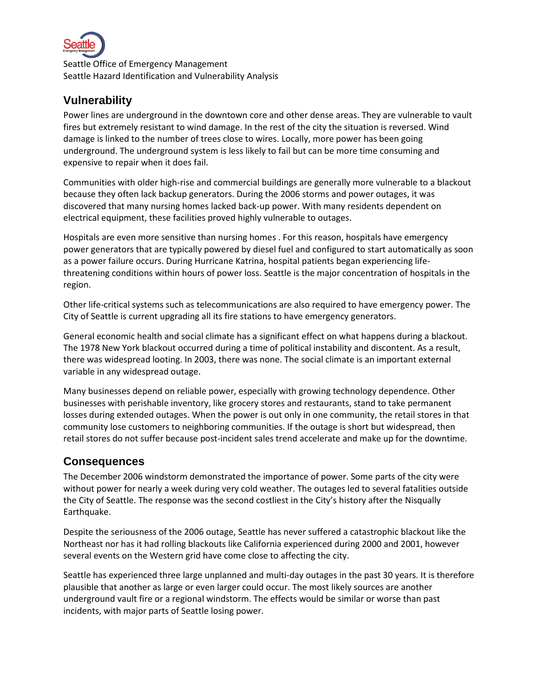

## **Vulnerability**

Power lines are underground in the downtown core and other dense areas. They are vulnerable to vault fires but extremely resistant to wind damage. In the rest of the city the situation is reversed. Wind damage is linked to the number of trees close to wires. Locally, more power has been going underground. The underground system is less likely to fail but can be more time consuming and expensive to repair when it does fail.

Communities with older high-rise and commercial buildings are generally more vulnerable to a blackout because they often lack backup generators. During the 2006 storms and power outages, it was discovered that many nursing homes lacked back-up power. With many residents dependent on electrical equipment, these facilities proved highly vulnerable to outages.

Hospitals are even more sensitive than nursing homes . For this reason, hospitals have emergency power generators that are typically powered by diesel fuel and configured to start automatically as soon as a power failure occurs. During Hurricane Katrina, hospital patients began experiencing lifethreatening conditions within hours of power loss. Seattle is the major concentration of hospitals in the region.

Other life-critical systems such as telecommunications are also required to have emergency power. The City of Seattle is current upgrading all its fire stations to have emergency generators.

General economic health and social climate has a significant effect on what happens during a blackout. The 1978 New York blackout occurred during a time of political instability and discontent. As a result, there was widespread looting. In 2003, there was none. The social climate is an important external variable in any widespread outage.

Many businesses depend on reliable power, especially with growing technology dependence. Other businesses with perishable inventory, like grocery stores and restaurants, stand to take permanent losses during extended outages. When the power is out only in one community, the retail stores in that community lose customers to neighboring communities. If the outage is short but widespread, then retail stores do not suffer because post-incident sales trend accelerate and make up for the downtime.

## **Consequences**

The December 2006 windstorm demonstrated the importance of power. Some parts of the city were without power for nearly a week during very cold weather. The outages led to several fatalities outside the City of Seattle. The response was the second costliest in the City's history after the Nisqually Earthquake.

Despite the seriousness of the 2006 outage, Seattle has never suffered a catastrophic blackout like the Northeast nor has it had rolling blackouts like California experienced during 2000 and 2001, however several events on the Western grid have come close to affecting the city.

Seattle has experienced three large unplanned and multi-day outages in the past 30 years. It is therefore plausible that another as large or even larger could occur. The most likely sources are another underground vault fire or a regional windstorm. The effects would be similar or worse than past incidents, with major parts of Seattle losing power.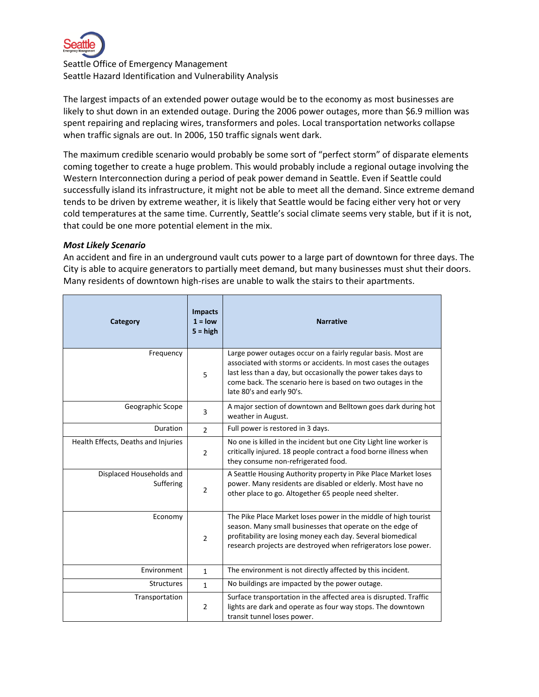

The largest impacts of an extended power outage would be to the economy as most businesses are likely to shut down in an extended outage. During the 2006 power outages, more than \$6.9 million was spent repairing and replacing wires, transformers and poles. Local transportation networks collapse when traffic signals are out. In 2006, 150 traffic signals went dark.

The maximum credible scenario would probably be some sort of "perfect storm" of disparate elements coming together to create a huge problem. This would probably include a regional outage involving the Western Interconnection during a period of peak power demand in Seattle. Even if Seattle could successfully island its infrastructure, it might not be able to meet all the demand. Since extreme demand tends to be driven by extreme weather, it is likely that Seattle would be facing either very hot or very cold temperatures at the same time. Currently, Seattle's social climate seems very stable, but if it is not, that could be one more potential element in the mix.

#### *Most Likely Scenario*

An accident and fire in an underground vault cuts power to a large part of downtown for three days. The City is able to acquire generators to partially meet demand, but many businesses must shut their doors. Many residents of downtown high-rises are unable to walk the stairs to their apartments.

| Category                              | <b>Impacts</b><br>$1 = low$<br>$5 = high$ | <b>Narrative</b>                                                                                                                                                                                                                                                                              |
|---------------------------------------|-------------------------------------------|-----------------------------------------------------------------------------------------------------------------------------------------------------------------------------------------------------------------------------------------------------------------------------------------------|
| Frequency                             | 5                                         | Large power outages occur on a fairly regular basis. Most are<br>associated with storms or accidents. In most cases the outages<br>last less than a day, but occasionally the power takes days to<br>come back. The scenario here is based on two outages in the<br>late 80's and early 90's. |
| Geographic Scope                      | 3                                         | A major section of downtown and Belltown goes dark during hot<br>weather in August.                                                                                                                                                                                                           |
| <b>Duration</b>                       | $\mathcal{P}$                             | Full power is restored in 3 days.                                                                                                                                                                                                                                                             |
| Health Effects, Deaths and Injuries   | $\overline{2}$                            | No one is killed in the incident but one City Light line worker is<br>critically injured. 18 people contract a food borne illness when<br>they consume non-refrigerated food.                                                                                                                 |
| Displaced Households and<br>Suffering | $\overline{2}$                            | A Seattle Housing Authority property in Pike Place Market loses<br>power. Many residents are disabled or elderly. Most have no<br>other place to go. Altogether 65 people need shelter.                                                                                                       |
| Economy                               | $\overline{2}$                            | The Pike Place Market loses power in the middle of high tourist<br>season. Many small businesses that operate on the edge of<br>profitability are losing money each day. Several biomedical<br>research projects are destroyed when refrigerators lose power.                                 |
| Environment                           | $\mathbf{1}$                              | The environment is not directly affected by this incident.                                                                                                                                                                                                                                    |
| <b>Structures</b>                     | $\mathbf{1}$                              | No buildings are impacted by the power outage.                                                                                                                                                                                                                                                |
| Transportation                        | $\overline{2}$                            | Surface transportation in the affected area is disrupted. Traffic<br>lights are dark and operate as four way stops. The downtown<br>transit tunnel loses power.                                                                                                                               |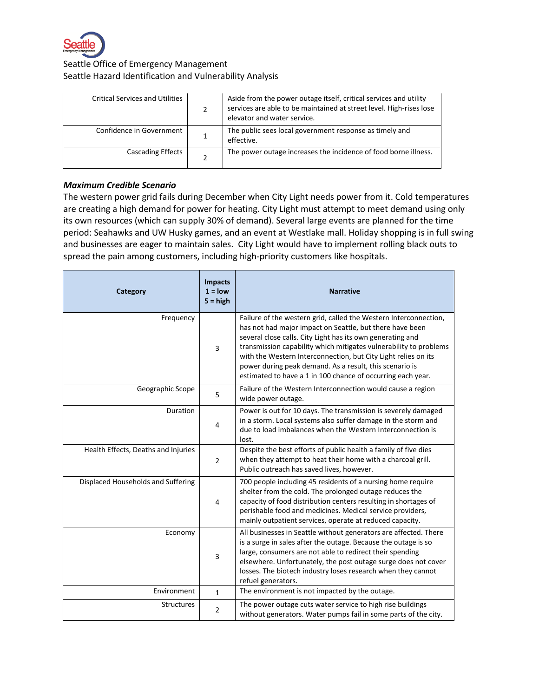

| <b>Critical Services and Utilities</b> | Aside from the power outage itself, critical services and utility<br>services are able to be maintained at street level. High-rises lose<br>elevator and water service. |
|----------------------------------------|-------------------------------------------------------------------------------------------------------------------------------------------------------------------------|
| Confidence in Government               | The public sees local government response as timely and<br>effective.                                                                                                   |
| <b>Cascading Effects</b>               | The power outage increases the incidence of food borne illness.                                                                                                         |

#### *Maximum Credible Scenario*

The western power grid fails during December when City Light needs power from it. Cold temperatures are creating a high demand for power for heating. City Light must attempt to meet demand using only its own resources (which can supply 30% of demand). Several large events are planned for the time period: Seahawks and UW Husky games, and an event at Westlake mall. Holiday shopping is in full swing and businesses are eager to maintain sales. City Light would have to implement rolling black outs to spread the pain among customers, including high-priority customers like hospitals.

| Category                            | <b>Impacts</b><br>$1 =$ low<br>$5 = high$ | <b>Narrative</b>                                                                                                                                                                                                                                                                                                                                                                                                                                            |
|-------------------------------------|-------------------------------------------|-------------------------------------------------------------------------------------------------------------------------------------------------------------------------------------------------------------------------------------------------------------------------------------------------------------------------------------------------------------------------------------------------------------------------------------------------------------|
| Frequency                           | 3                                         | Failure of the western grid, called the Western Interconnection,<br>has not had major impact on Seattle, but there have been<br>several close calls. City Light has its own generating and<br>transmission capability which mitigates vulnerability to problems<br>with the Western Interconnection, but City Light relies on its<br>power during peak demand. As a result, this scenario is<br>estimated to have a 1 in 100 chance of occurring each year. |
| Geographic Scope                    | 5                                         | Failure of the Western Interconnection would cause a region<br>wide power outage.                                                                                                                                                                                                                                                                                                                                                                           |
| Duration                            | 4                                         | Power is out for 10 days. The transmission is severely damaged<br>in a storm. Local systems also suffer damage in the storm and<br>due to load imbalances when the Western Interconnection is<br>lost.                                                                                                                                                                                                                                                      |
| Health Effects, Deaths and Injuries | $\overline{2}$                            | Despite the best efforts of public health a family of five dies<br>when they attempt to heat their home with a charcoal grill.<br>Public outreach has saved lives, however.                                                                                                                                                                                                                                                                                 |
| Displaced Households and Suffering  | $\overline{4}$                            | 700 people including 45 residents of a nursing home require<br>shelter from the cold. The prolonged outage reduces the<br>capacity of food distribution centers resulting in shortages of<br>perishable food and medicines. Medical service providers,<br>mainly outpatient services, operate at reduced capacity.                                                                                                                                          |
| Economy                             | 3                                         | All businesses in Seattle without generators are affected. There<br>is a surge in sales after the outage. Because the outage is so<br>large, consumers are not able to redirect their spending<br>elsewhere. Unfortunately, the post outage surge does not cover<br>losses. The biotech industry loses research when they cannot<br>refuel generators.                                                                                                      |
| Environment                         | $\mathbf{1}$                              | The environment is not impacted by the outage.                                                                                                                                                                                                                                                                                                                                                                                                              |
| Structures                          | $\overline{2}$                            | The power outage cuts water service to high rise buildings<br>without generators. Water pumps fail in some parts of the city.                                                                                                                                                                                                                                                                                                                               |